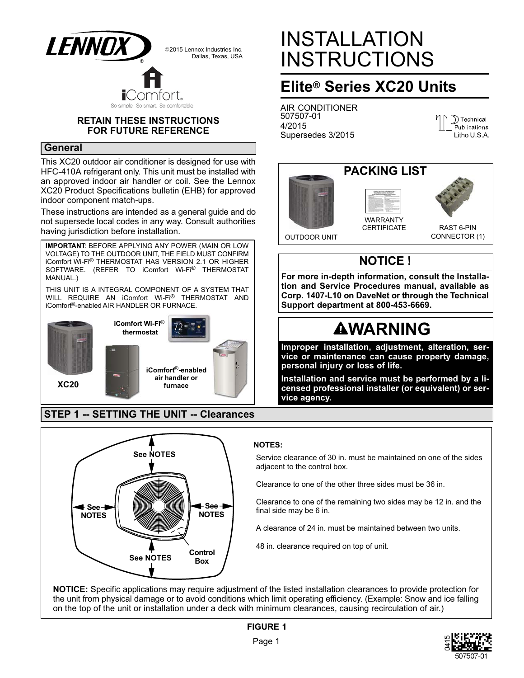

### **RETAIN THESE INSTRUCTIONS FOR FUTURE REFERENCE**

### **General**

This XC20 outdoor air conditioner is designed for use with HFC-410A refrigerant only. This unit must be installed with an approved indoor air handler or coil. See the Lennox XC20 Product Specifications bulletin (EHB) for approved indoor component match-ups.

These instructions are intended as a general guide and do not supersede local codes in any way. Consult authorities having jurisdiction before installation.

THIS UNIT IS A INTEGRAL COMPONENT OF A SYSTEM THAT WILL REQUIRE AN iComfort Wi-Fi® THERMOSTAT AND iComfort®-enabled AIR HANDLER OR FURNACE. **XC20 iComfort Wi-Fi**® **thermostat IMPORTANT**: BEFORE APPLYING ANY POWER (MAIN OR LOW VOLTAGE) TO THE OUTDOOR UNIT, THE FIELD MUST CONFIRM iComfort Wi-Fi® THERMOSTAT HAS VERSION 2.1 OR HIGHER SOFTWARE. (REFER TO iComfort Wi-Fi® THERMOSTAT MANUAL.) **iComfort**®**-enabled air handler or furnace**

# **STEP 1 -- SETTING THE UNIT -- Clearances**



# INSTALLATION INSTRUCTIONS

# **Elite® Series XC20 Units**

AIR CONDITIONER 507507-01 4/2015 Supersedes 3/2015





# **NOTICE !**

**For more in-depth information, consult the Installation and Service Procedures manual, available as Corp. 1407-L10 on DaveNet or through the Technical Support department at 800-453-6669.**

# **AWARNING**

**Improper installation, adjustment, alteration, service or maintenance can cause property damage, personal injury or loss of life.**

**Installation and service must be performed by a licensed professional installer (or equivalent) or service agency.**

### **NOTES:**

Service clearance of 30 in. must be maintained on one of the sides adjacent to the control box.

Clearance to one of the other three sides must be 36 in.

 $\frac{1}{1}$   $\frac{1}{1}$   $\frac{1}{1}$   $\frac{1}{1}$   $\frac{1}{1}$   $\frac{1}{1}$   $\frac{1}{1}$   $\frac{1}{1}$   $\frac{1}{1}$   $\frac{1}{1}$   $\frac{1}{1}$   $\frac{1}{1}$   $\frac{1}{1}$   $\frac{1}{1}$   $\frac{1}{1}$   $\frac{1}{1}$   $\frac{1}{1}$   $\frac{1}{1}$   $\frac{1}{1}$   $\frac{1}{1}$   $\frac{1}{1}$   $\frac{1}{1}$  final side may be 6 in.

**I** A clearance of 24 in. must be maintained between two units.

48 in. clearance required on top of unit.

**NOTICE:** Specific applications may require adjustment of the listed installation clearances to provide protection for the unit from physical damage or to avoid conditions which limit operating efficiency. (Example: Snow and ice falling on the top of the unit or installation under a deck with minimum clearances, causing recirculation of air.)

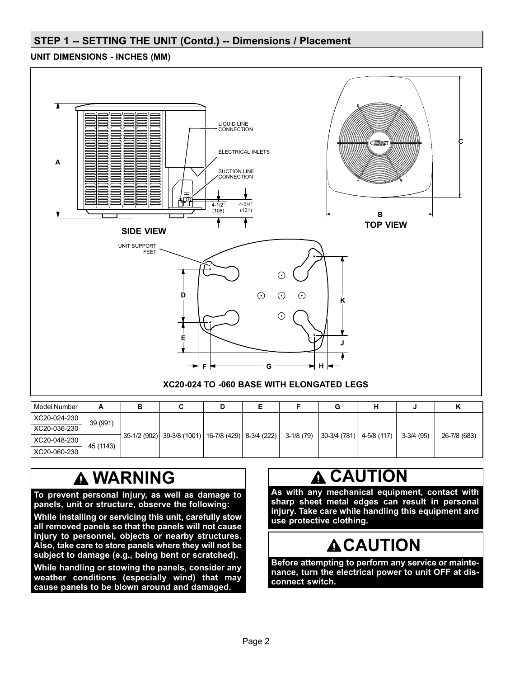# **STEP 1 -- SETTING THE UNIT (Contd.) -- Dimensions / Placement**

# **UNIT DIMENSIONS - INCHES (MM)**



| Model Number |           | в                                                   |  |  |            |                             |             |              |
|--------------|-----------|-----------------------------------------------------|--|--|------------|-----------------------------|-------------|--------------|
| XC20-024-230 | 39 (991)  | 35-1/2 (902) 39-3/8 (1001) 16-7/8 (429) 8-3/4 (222) |  |  | 3-1/8 (79) | $ 30-3/4(781) $ 4-5/8 (117) | $3-3/4(95)$ | 26-7/8 (683) |
| XC20-036-230 |           |                                                     |  |  |            |                             |             |              |
| XC20-048-230 | 45 (1143) |                                                     |  |  |            |                             |             |              |
| XC20-060-230 |           |                                                     |  |  |            |                             |             |              |

# **WARNING**

**To prevent personal injury, as well as damage to panels, unit or structure, observe the following:**

**While installing or servicing this unit, carefully stow all removed panels so that the panels will not cause injury to personnel, objects or nearby structures. Also, take care to store panels where they will not be subject to damage (e.g., being bent or scratched).**

**While handling or stowing the panels, consider any weather conditions (especially wind) that may cause panels to be blown around and damaged.**

# **A CAUTION**

**As with any mechanical equipment, contact with sharp sheet metal edges can result in personal injury. Take care while handling this equipment and use protective clothing.**

# **ACAUTION**

**Before attempting to perform any service or maintenance, turn the electrical power to unit OFF at disconnect switch.**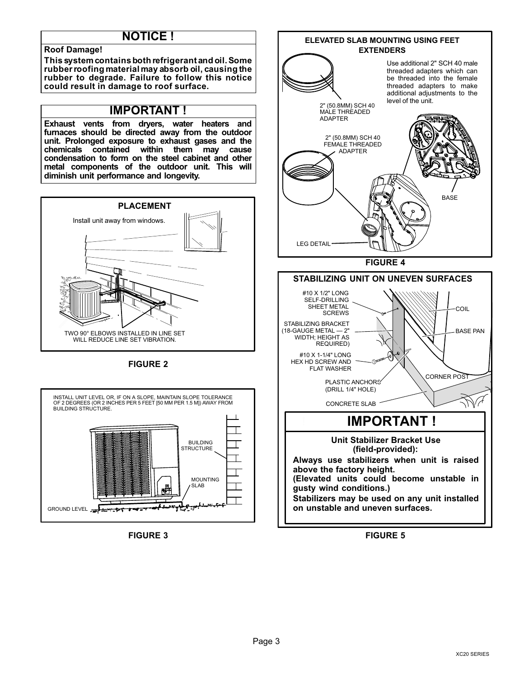# **NOTICE !**

#### **Roof Damage!**

**This system contains both refrigerant and oil. Some rubber roofing material may absorb oil, causing the rubber to degrade. Failure to follow this notice could result in damage to roof surface.**

# **IMPORTANT !**

**Exhaust vents from dryers, water heaters and furnaces should be directed away from the outdoor unit. Prolonged exposure to exhaust gases and the chemicals contained within them may cause condensation to form on the steel cabinet and other metal components of the outdoor unit. This will diminish unit performance and longevity.**



**FIGURE 2**



**FIGURE 3**



**FIGURE 5**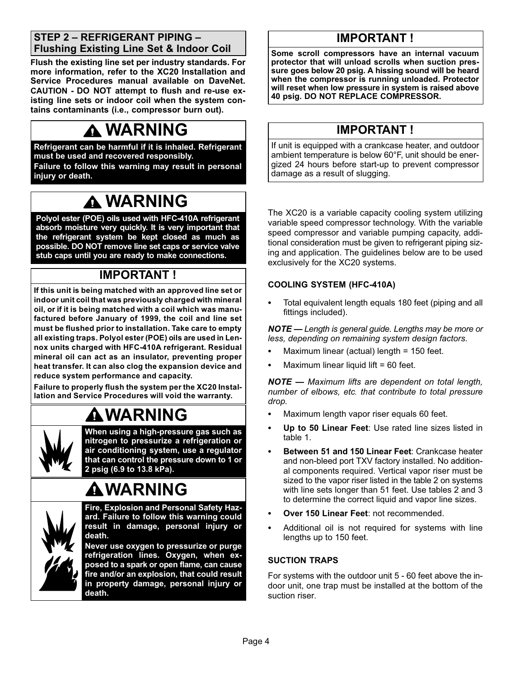# **STEP 2 – REFRIGERANT PIPING – Flushing Existing Line Set & Indoor Coil**

**Flush the existing line set per industry standards. For more information, refer to the XC20 Installation and Service Procedures manual available on DaveNet. CAUTION - DO NOT attempt to flush and re-use existing line sets or indoor coil when the system contains contaminants (i.e., compressor burn out).**

# **WARNING**

**Refrigerant can be harmful if it is inhaled. Refrigerant must be used and recovered responsibly. Failure to follow this warning may result in personal injury or death.**

# **WARNING**

**Polyol ester (POE) oils used with HFC-410A refrigerant absorb moisture very quickly. It is very important that the refrigerant system be kept closed as much as possible. DO NOT remove line set caps or service valve stub caps until you are ready to make connections.**

# **IMPORTANT !**

**If this unit is being matched with an approved line set or indoor unit coil that was previously charged with mineral oil, or if it is being matched with a coil which was manufactured before January of 1999, the coil and line set must be flushed prior to installation. Take care to empty all existing traps. Polyol ester (POE) oils are used in Lennox units charged with HFC-410A refrigerant. Residual mineral oil can act as an insulator, preventing proper heat transfer. It can also clog the expansion device and reduce system performance and capacity.**

**Failure to properly flush the system per the XC20 Installation and Service Procedures will void the warranty.**

# **WARNING**



**When using a high-pressure gas such as nitrogen to pressurize a refrigeration or air conditioning system, use a regulator that can control the pressure down to 1 or 2 psig (6.9 to 13.8 kPa).**

# **WARNING**



**Fire, Explosion and Personal Safety Hazard. Failure to follow this warning could result in damage, personal injury or death.**

**Never use oxygen to pressurize or purge refrigeration lines. Oxygen, when exposed to a spark or open flame, can cause fire and/or an explosion, that could result in property damage, personal injury or death.**

# **IMPORTANT !**

**Some scroll compressors have an internal vacuum protector that will unload scrolls when suction pressure goes below 20 psig. A hissing sound will be heard when the compressor is running unloaded. Protector will reset when low pressure in system is raised above 40 psig. DO NOT REPLACE COMPRESSOR.**

# **IMPORTANT !**

If unit is equipped with a crankcase heater, and outdoor ambient temperature is below 60°F, unit should be energized 24 hours before start-up to prevent compressor damage as a result of slugging.

The XC20 is a variable capacity cooling system utilizing variable speed compressor technology. With the variable speed compressor and variable pumping capacity, additional consideration must be given to refrigerant piping sizing and application. The guidelines below are to be used exclusively for the XC20 systems.

### **COOLING SYSTEM (HFC410A)**

. Total equivalent length equals 180 feet (piping and all fittings included).

*NOTE — Length is general guide. Lengths may be more or less, depending on remaining system design factors.*

- . Maximum linear (actual) length = 150 feet.
- . Maximum linear liquid lift = 60 feet.

*NOTE — Maximum lifts are dependent on total length, number of elbows, etc. that contribute to total pressure drop.*

- . Maximum length vapor riser equals 60 feet.
- . **Up to 50 Linear Feet**: Use rated line sizes listed in table [1](#page-4-0).
- . **Between 51 and 150 Linear Feet**: Crankcase heater and non-bleed port TXV factory installed. No additional components required. Vertical vapor riser must be sized to the vapor riser listed in the table [2](#page-4-0) on systems with line sets longer than 51 feet. Use tables [2](#page-4-0) and [3](#page-4-0) to determine the correct liquid and vapor line sizes.
- . **Over 150 Linear Feet**: not recommended.
- . Additional oil is not required for systems with line lengths up to 150 feet.

### **SUCTION TRAPS**

For systems with the outdoor unit 5 - 60 feet above the indoor unit, one trap must be installed at the bottom of the suction riser.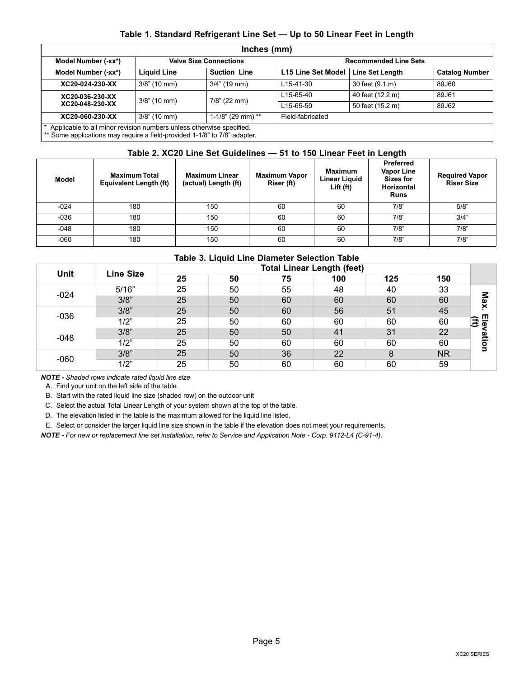#### **Table 1. Standard Refrigerant Line Set — Up to 50 Linear Feet in Length**

<span id="page-4-0"></span>

|                                                                                                                                                   |                    | Inches (mm)                   |                           |                              |                       |
|---------------------------------------------------------------------------------------------------------------------------------------------------|--------------------|-------------------------------|---------------------------|------------------------------|-----------------------|
| Model Number (-xx*)                                                                                                                               |                    | <b>Valve Size Connections</b> |                           | <b>Recommended Line Sets</b> |                       |
| Model Number (-xx*)                                                                                                                               | <b>Liquid Line</b> | <b>Suction Line</b>           | <b>L15 Line Set Model</b> | <b>Line Set Length</b>       | <b>Catalog Number</b> |
| XC20-024-230-XX                                                                                                                                   | $3/8$ " (10 mm)    | $3/4$ " (19 mm)               | L <sub>15</sub> -41-30    | 30 feet (9.1 m)              | 89J60                 |
| XC20-036-230-XX                                                                                                                                   | $3/8$ " (10 mm)    | $7/8$ " (22 mm)               | L <sub>15</sub> -65-40    | 40 feet (12.2 m)             | 89J61                 |
| XC20-048-230-XX                                                                                                                                   |                    |                               | L <sub>15</sub> -65-50    | 50 feet (15.2 m)             | 89J62                 |
| XC20-060-230-XX                                                                                                                                   | $3/8$ " (10 mm)    | 1-1/8" (29 mm) **             | Field-fabricated          |                              |                       |
| Applicable to all minor revision numbers unless otherwise specified.<br>** Some applications may require a field-provided 1-1/8" to 7/8" adapter. |                    |                               |                           |                              |                       |

### **Table 2. XC20 Line Set Guidelines — 51 to 150 Linear Feet in Length**

| <b>Model</b> | Maximum Total<br>Equivalent Length (ft) | <b>Maximum Linear</b><br>(actual) Length (ft) | <b>Maximum Vapor</b><br>Riser (ft) | <b>Maximum</b><br><b>Linear Liguid</b><br>Lift (ft) | <b>Preferred</b><br><b>Vapor Line</b><br><b>Sizes for</b><br><b>Horizontal</b><br><b>Runs</b> | <b>Required Vapor</b><br><b>Riser Size</b> |
|--------------|-----------------------------------------|-----------------------------------------------|------------------------------------|-----------------------------------------------------|-----------------------------------------------------------------------------------------------|--------------------------------------------|
| $-024$       | 180                                     | 150                                           | 60                                 | 60                                                  | 7/8"                                                                                          | 5/8"                                       |
| $-036$       | 180                                     | 150                                           | 60                                 | 60                                                  | 7/8"                                                                                          | 3/4"                                       |
| $-048$       | 180                                     | 150                                           | 60                                 | 60                                                  | 7/8"                                                                                          | 7/8"                                       |
| $-060$       | 180                                     | 150                                           | 60                                 | 60                                                  | 7/8"                                                                                          | 7/8"                                       |

### **Table 3. Liquid Line Diameter Selection Table**

| Unit   | <b>Line Size</b> | <b>Total Linear Length (feet)</b> |    |    |     |     |                |         |  |
|--------|------------------|-----------------------------------|----|----|-----|-----|----------------|---------|--|
|        |                  | 25                                | 50 | 75 | 100 | 125 | 150            |         |  |
| $-024$ | 5/16"            | 25                                | 50 | 55 | 48  | 40  | 33             |         |  |
|        | 3/8"             | 25                                | 50 | 60 | 60  | 60  | 60             | æ       |  |
| $-036$ | 3/8"             | 25                                | 50 | 60 | 56  | 51  | 45             |         |  |
|        | 1/2"             | 25                                | 50 | 60 | 60  | 60  | 60             | ぼ<br>o. |  |
| $-048$ | 3/8"             | 25                                | 50 | 50 | 41  | 31  | 22             | तैं     |  |
|        | 1/2"             | 25                                | 50 | 60 | 60  | 60  | 60             | o       |  |
| $-060$ | 3/8"             | 25                                | 50 | 36 | 22  | 8   | N <sub>R</sub> |         |  |
|        | 1/2"             | 25                                | 50 | 60 | 60  | 60  | 59             |         |  |

*NOTE Shaded rows indicate rated liquid line size*

A. Find your unit on the left side of the table.

B. Start with the rated liquid line size (shaded row) on the outdoor unit

C. Select the actual Total Linear Length of your system shown at the top of the table.

D. The elevation listed in the table is the maximum allowed for the liquid line listed.

E. Select or consider the larger liquid line size shown in the table if the elevation does not meet your requirements.

*NOTE - For new or replacement line set installation, refer to Service and Application Note - Corp. 9112-L4 (C-91-4).*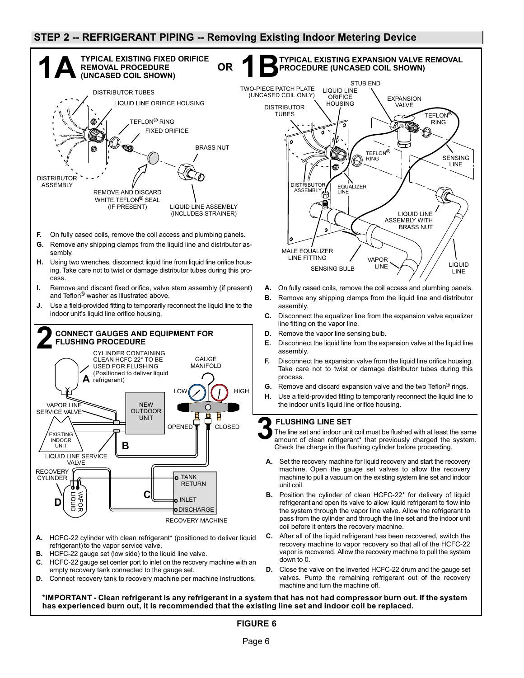## **STEP 2 -- REFRIGERANT PIPING -- Removing Existing Indoor Metering Device**

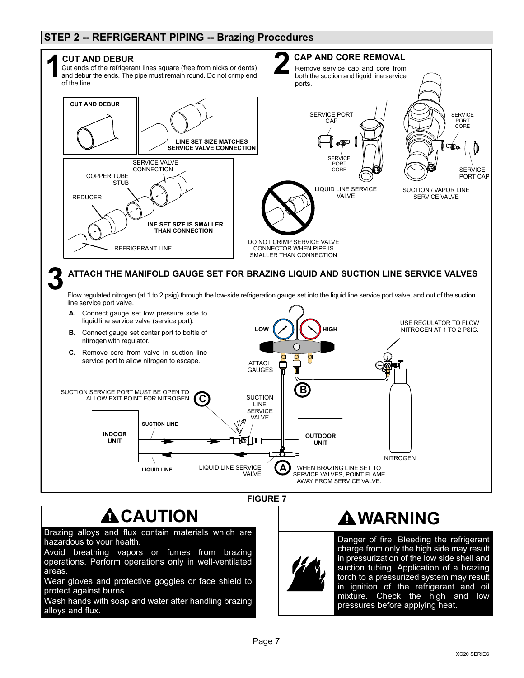# **STEP 2 -- REFRIGERANT PIPING -- Brazing Procedures**



# $\triangle$  CAUTION

Brazing alloys and flux contain materials which are hazardous to your health.

Avoid breathing vapors or fumes from brazing operations. Perform operations only in well-ventilated areas.

Wear gloves and protective goggles or face shield to protect against burns.

Wash hands with soap and water after handling brazing alloys and flux.

# **WARNING**

Danger of fire. Bleeding the refrigerant charge from only the high side may result in pressurization of the low side shell and suction tubing. Application of a brazing torch to a pressurized system may result in ignition of the refrigerant and oil mixture. Check the high and low pressures before applying heat.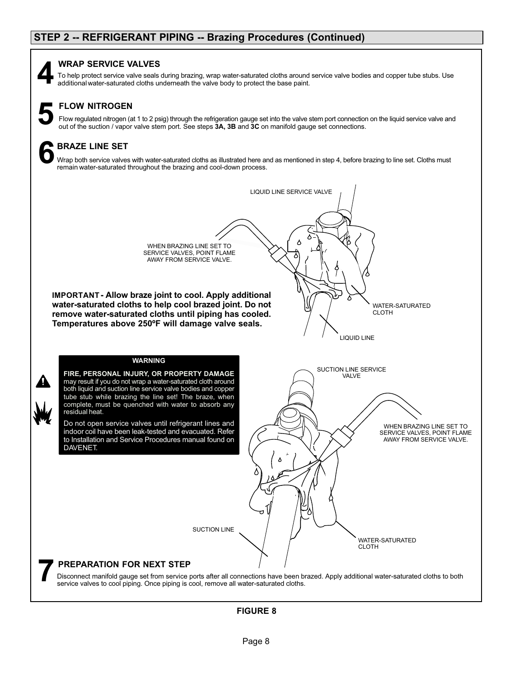#### **WRAP SERVICE VALVES**

To help protect service valve seals during brazing, wrap water-saturated cloths around service valve bodies and copper tube stubs. Use additional water-saturated cloths underneath the valve body to protect the base paint.

# **FLOW NITROGEN**

Flow regulated nitrogen (at 1 to 2 psig) through the refrigeration gauge set into the valve stem port connection on the liquid service valve and out of the suction / vapor valve and out of the suction / vapor valve stem po

## **BRAZE LINE SET**

Wrap both service valves with water-saturated cloths as illustrated here and as mentioned in step 4, before brazing to line set. Cloths must remain water-saturated throughout the brazing and cool-down process. **6**

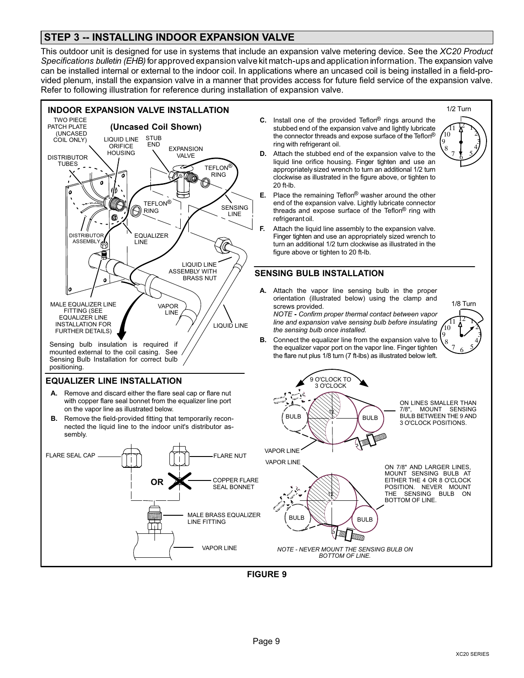# **STEP 3 -- INSTALLING INDOOR EXPANSION VALVE**

This outdoor unit is designed for use in systems that include an expansion valve metering device. See the *XC20 Product Specifications bulletin (EHB)* for approved expansion valve kit match-ups and application information. The expansion valve can be installed internal or external to the indoor coil. In applications where an uncased coil is being installed in a field-provided plenum, install the expansion valve in a manner that provides access for future field service of the expansion valve. Refer to following illustration for reference during installation of expansion valve.



**FIGURE 9**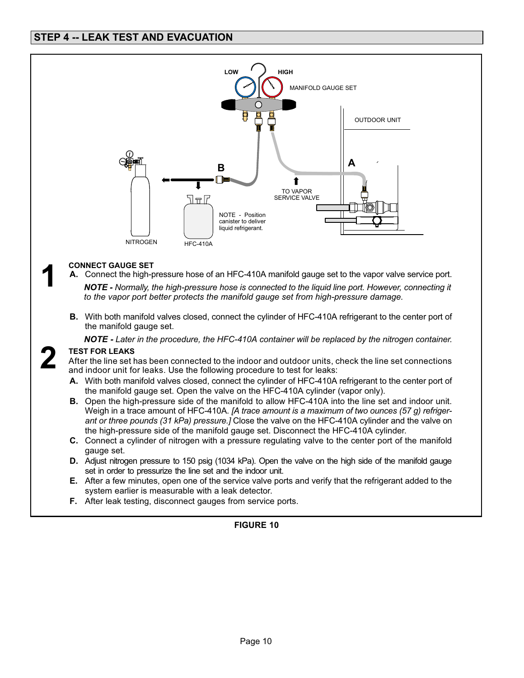

### **CONNECT GAUGE SET**

**1**

**2**

- **A.** Connect the high-pressure hose of an HFC-410A manifold gauge set to the vapor valve service port. *NOTE - Normally, the high-pressure hose is connected to the liquid line port. However, connecting it to the vapor port better protects the manifold gauge set from high-pressure damage.*
- **B.** With both manifold valves closed, connect the cylinder of HFC-410A refrigerant to the center port of the manifold gauge set.

*NOTE - Later in the procedure, the HFC-410A container will be replaced by the nitrogen container.*

#### **TEST FOR LEAKS**

After the line set has been connected to the indoor and outdoor units, check the line set connections and indoor unit for leaks. Use the following procedure to test for leaks:

- **A.** With both manifold valves closed, connect the cylinder of HFC-410A refrigerant to the center port of the manifold gauge set. Open the valve on the HFC-410A cylinder (vapor only).
- **B.** Open the high-pressure side of the manifold to allow HFC-410A into the line set and indoor unit. Weigh in a trace amount of HFC-410A. *[A trace amount is a maximum of two ounces (57 g) refrigerant or three pounds (31 kPa) pressure.]* Close the valve on the HFC-410A cylinder and the valve on the high-pressure side of the manifold gauge set. Disconnect the HFC-410A cylinder.
- **C.** Connect a cylinder of nitrogen with a pressure regulating valve to the center port of the manifold gauge set.
- **D.** Adjust nitrogen pressure to 150 psig (1034 kPa). Open the valve on the high side of the manifold gauge set in order to pressurize the line set and the indoor unit.
- **E.** After a few minutes, open one of the service valve ports and verify that the refrigerant added to the system earlier is measurable with a leak detector.
- **F.** After leak testing, disconnect gauges from service ports.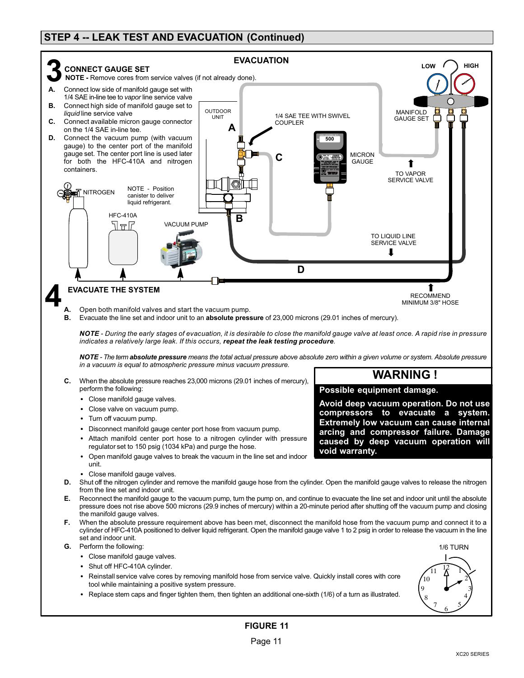# **STEP 4 -- LEAK TEST AND EVACUATION (Continued)**



- tool while maintaining a positive system pressure.
- Replace stem caps and finger tighten them, then tighten an additional one-sixth (1/6) of a turn as illustrated.

3 4

 $\frac{7}{6}$  5

8 9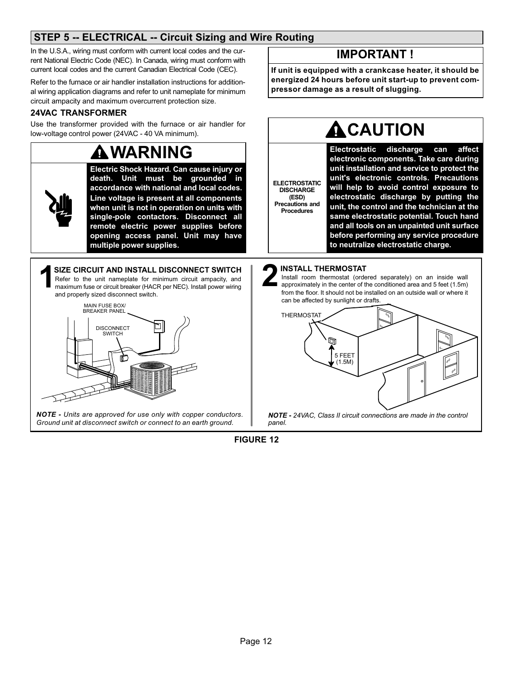# **STEP 5 -- ELECTRICAL -- Circuit Sizing and Wire Routing**

In the U.S.A., wiring must conform with current local codes and the current National Electric Code (NEC). In Canada, wiring must conform with current local codes and the current Canadian Electrical Code (CEC).

Refer to the furnace or air handler installation instructions for additional wiring application diagrams and refer to unit nameplate for minimum circuit ampacity and maximum overcurrent protection size.

### **24VAC TRANSFORMER**

Use the transformer provided with the furnace or air handler for low‐voltage control power (24VAC - 40 VA minimum).

# **WARNING**

**Electric Shock Hazard. Can cause injury or death. Unit must be grounded in accordance with national and local codes. Line voltage is present at all components when unit is not in operation on units with single‐pole contactors. Disconnect all remote electric power supplies before opening access panel. Unit may have multiple power supplies.**

Refer to the unit nameplate for minimum circuit ampacity, and maximum fuse or circuit breaker (HACR per NEC). Install power wiring and properly sized disconnect switch. **SIZE CIRCUIT AND INSTALL DISCONNECT SWITCH**<br>Refer to the unit nameplate for minimum circuit ampacity, and<br>maximum fuse or circuit breaker (HACR per NEC). Install power wiring<br>and around the conditional state of the state



*NOTE - Units are approved for use only with copper conductors. Ground unit at disconnect switch or connect to an earth ground.*

# **IMPORTANT !**

**If unit is equipped with a crankcase heater, it should be energized 24 hours before unit start-up to prevent compressor damage as a result of slugging.**

# **A** CAUTION

**ELECTROSTATIC DISCHARGE (ESD) Precautions and Procedures**

**Electrostatic discharge can affect electronic components. Take care during unit installation and service to protect the unit's electronic controls. Precautions will help to avoid control exposure to electrostatic discharge by putting the unit, the control and the technician at the same electrostatic potential. Touch hand and all tools on an unpainted unit surface before performing any service procedure to neutralize electrostatic charge.**

### **INSTALL THERMOSTAT 2**

Install room thermostat (ordered separately) on an inside wall approximately in the center of the conditioned area and 5 feet (1.5m) from the floor. It should not be installed on an outside wall or where it can be affected by sunlight or drafts.

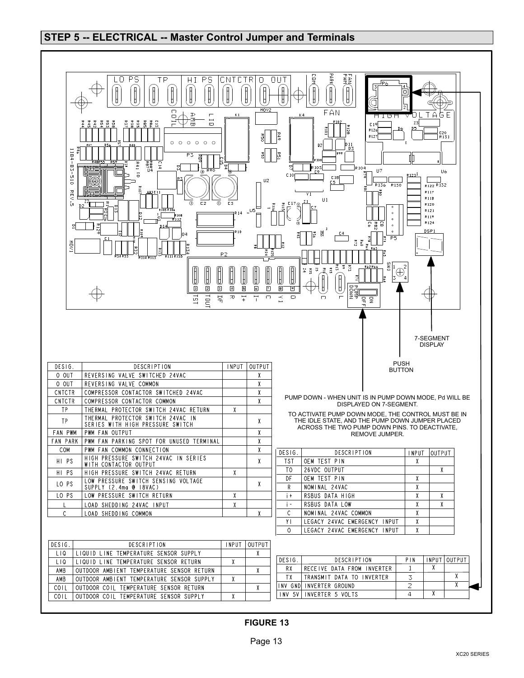### **STEP 5 -- ELECTRICAL -- Master Control Jumper and Terminals**

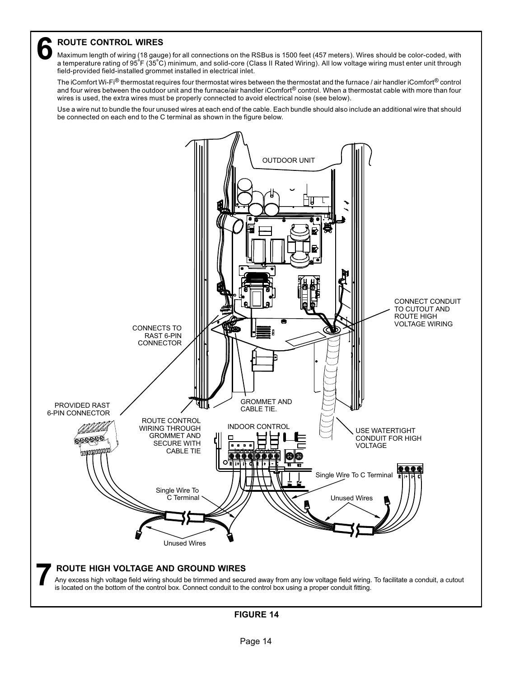**6 ROUTE CONTROL WIRES**<br>Maximum length of wiring (18 gaug<br>a temperature rating of 95°F (35°C Maximum length of wiring (18 gauge) for all connections on the RSBus is 1500 feet (457 meters). Wires should be color-coded, with a temperature rating of 95ºF (35ºC) minimum, and solid-core (Class II Rated Wiring). All low voltage wiring must enter unit through field-provided field-installed grommet installed in electrical inlet.

The iComfort Wi-Fi® thermostat requires four thermostat wires between the thermostat and the furnace / air handler iComfort<sup>®</sup> control and four wires between the outdoor unit and the furnace/air handler iComfort® control. When a thermostat cable with more than four wires is used, the extra wires must be properly connected to avoid electrical noise (see below).

Use a wire nut to bundle the four unused wires at each end of the cable. Each bundle should also include an additional wire that should be connected on each end to the C terminal as shown in the figure below.



Any excess high voltage field wiring should be trimmed and secured away from any low voltage field wiring. To facilitate a conduit, a cutout is located on the bottom of the control box. Connect conduit to the control box using a proper conduit fitting.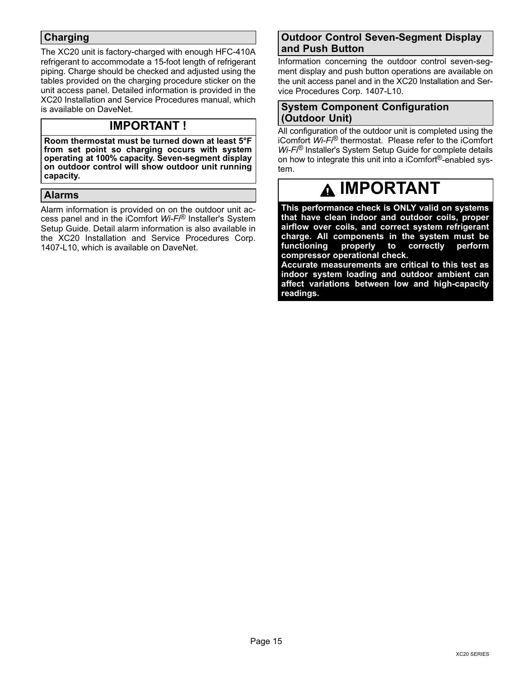# **Charging**

The XC20 unit is factory-charged with enough HFC-410A refrigerant to accommodate a 15-foot length of refrigerant piping. Charge should be checked and adjusted using the tables provided on the charging procedure sticker on the unit access panel. Detailed information is provided in the XC20 Installation and Service Procedures manual, which is available on DaveNet.

# **IMPORTANT !**

**Room thermostat must be turned down at least 5°F from set point so charging occurs with system operating at 100% capacity. Seven-segment display on outdoor control will show outdoor unit running capacity.**

# **Alarms**

Alarm information is provided on on the outdoor unit access panel and in the iComfort *Wi-Fi*® Installer's System Setup Guide. Detail alarm information is also available in the XC20 Installation and Service Procedures Corp. 1407-L10, which is available on DaveNet.

### **Outdoor Control Seven-Segment Display and Push Button**

Information concerning the outdoor control seven-segment display and push button operations are available on the unit access panel and in the XC20 Installation and Service Procedures Corp. 1407-L10.

### **System Component Configuration (Outdoor Unit)**

All configuration of the outdoor unit is completed using the iComfort *Wi-Fi*® thermostat. Please refer to the iComfort *Wi-Fi*® Installer's System Setup Guide for complete details on how to integrate this unit into a iComfort®-enabled system.

# **IMPORTANT**

**This performance check is ONLY valid on systems that have clean indoor and outdoor coils, proper airflow over coils, and correct system refrigerant charge. All components in the system must be functioning properly to correctly perform compressor operational check.** 

**Accurate measurements are critical to this test as indoor system loading and outdoor ambient can affect variations between low and high-capacity readings.**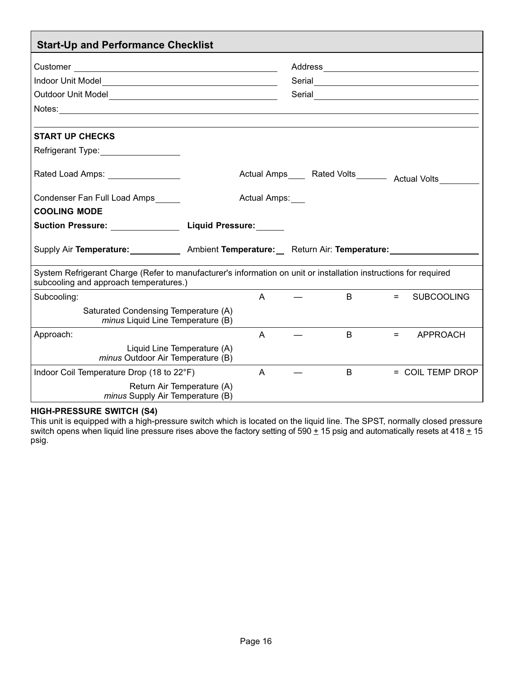| <b>Start-Up and Performance Checklist</b>                                                                                                                  |                            |              |                                                          |         |                   |
|------------------------------------------------------------------------------------------------------------------------------------------------------------|----------------------------|--------------|----------------------------------------------------------|---------|-------------------|
|                                                                                                                                                            |                            |              |                                                          |         |                   |
|                                                                                                                                                            |                            |              |                                                          |         |                   |
|                                                                                                                                                            |                            |              |                                                          |         |                   |
|                                                                                                                                                            |                            |              |                                                          |         |                   |
|                                                                                                                                                            |                            |              |                                                          |         |                   |
| <b>START UP CHECKS</b>                                                                                                                                     |                            |              |                                                          |         |                   |
| Refrigerant Type: __________________                                                                                                                       |                            |              |                                                          |         |                   |
| Rated Load Amps: National Rated Load Amps:                                                                                                                 |                            |              | Actual Amps_____ Rated Volts________ Actual Volts_______ |         |                   |
| Condenser Fan Full Load Amps                                                                                                                               |                            | Actual Amps: |                                                          |         |                   |
| <b>COOLING MODE</b>                                                                                                                                        |                            |              |                                                          |         |                   |
| Suction Pressure: ___________________ Liquid Pressure: ______                                                                                              |                            |              |                                                          |         |                   |
| Supply Air Temperature: ______________ Ambient Temperature: ___ Return Air: Temperature: ______                                                            |                            |              |                                                          |         |                   |
| System Refrigerant Charge (Refer to manufacturer's information on unit or installation instructions for required<br>subcooling and approach temperatures.) |                            |              |                                                          |         |                   |
| Subcooling:                                                                                                                                                |                            | $\mathsf{A}$ | $\mathbf{B}$                                             | $=$ $-$ | <b>SUBCOOLING</b> |
| Saturated Condensing Temperature (A)<br>minus Liquid Line Temperature (B)                                                                                  |                            |              |                                                          |         |                   |
| Approach:                                                                                                                                                  |                            | $\mathsf{A}$ | $\mathsf B$                                              |         | $=$ APPROACH      |
| Liquid Line Temperature (A)<br>minus Outdoor Air Temperature (B)                                                                                           |                            |              |                                                          |         |                   |
| Indoor Coil Temperature Drop (18 to 22°F)                                                                                                                  |                            | $\mathsf{A}$ | B.                                                       |         | = COIL TEMP DROP  |
| minus Supply Air Temperature (B)                                                                                                                           | Return Air Temperature (A) |              |                                                          |         |                   |

# **HIGH-PRESSURE SWITCH (S4)**

This unit is equipped with a high-pressure switch which is located on the liquid line. The SPST, normally closed pressure switch opens when liquid line pressure rises above the factory setting of 590 ± 15 psig and automatically resets at 418 <u>+</u> 15 psig.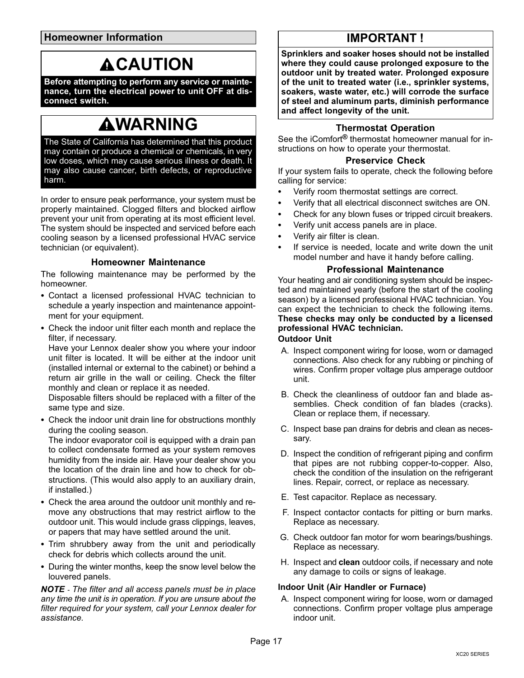**Homeowner Information**

# **ACAUTION**

**Before attempting to perform any service or maintenance, turn the electrical power to unit OFF at disconnect switch.**

# **WARNING**

The State of California has determined that this product may contain or produce a chemical or chemicals, in very low doses, which may cause serious illness or death. It may also cause cancer, birth defects, or reproductive harm.

In order to ensure peak performance, your system must be properly maintained. Clogged filters and blocked airflow prevent your unit from operating at its most efficient level. The system should be inspected and serviced before each cooling season by a licensed professional HVAC service technician (or equivalent).

### **Homeowner Maintenance**

The following maintenance may be performed by the homeowner.

- Contact a licensed professional HVAC technician to schedule a yearly inspection and maintenance appointment for your equipment.
- Check the indoor unit filter each month and replace the filter, if necessary.

Have your Lennox dealer show you where your indoor unit filter is located. It will be either at the indoor unit (installed internal or external to the cabinet) or behind a return air grille in the wall or ceiling. Check the filter monthly and clean or replace it as needed.

Disposable filters should be replaced with a filter of the same type and size.

 Check the indoor unit drain line for obstructions monthly during the cooling season.

The indoor evaporator coil is equipped with a drain pan to collect condensate formed as your system removes humidity from the inside air. Have your dealer show you the location of the drain line and how to check for obstructions. (This would also apply to an auxiliary drain, if installed.)

- Check the area around the outdoor unit monthly and remove any obstructions that may restrict airflow to the outdoor unit. This would include grass clippings, leaves, or papers that may have settled around the unit.
- Trim shrubbery away from the unit and periodically check for debris which collects around the unit.
- During the winter months, keep the snow level below the louvered panels.

*NOTE - The filter and all access panels must be in place any time the unit is in operation. If you are unsure about the filter required for your system, call your Lennox dealer for assistance.*

# **IMPORTANT !**

**Sprinklers and soaker hoses should not be installed where they could cause prolonged exposure to the outdoor unit by treated water. Prolonged exposure of the unit to treated water (i.e., sprinkler systems, soakers, waste water, etc.) will corrode the surface of steel and aluminum parts, diminish performance and affect longevity of the unit.**

### **Thermostat Operation**

See the iComfort**®** thermostat homeowner manual for instructions on how to operate your thermostat.

### **Preservice Check**

If your system fails to operate, check the following before calling for service:

- $\bullet$ Verify room thermostat settings are correct.
- . Verify that all electrical disconnect switches are ON.
- . Check for any blown fuses or tripped circuit breakers.
- . Verify unit access panels are in place.
- . Verify air filter is clean.
- . If service is needed, locate and write down the unit model number and have it handy before calling.

### **Professional Maintenance**

Your heating and air conditioning system should be inspected and maintained yearly (before the start of the cooling season) by a licensed professional HVAC technician. You can expect the technician to check the following items. **These checks may only be conducted by a licensed professional HVAC technician. Outdoor Unit**

#### A. Inspect component wiring for loose, worn or damaged connections. Also check for any rubbing or pinching of wires. Confirm proper voltage plus amperage outdoor unit.

- B. Check the cleanliness of outdoor fan and blade assemblies. Check condition of fan blades (cracks). Clean or replace them, if necessary.
- C. Inspect base pan drains for debris and clean as necessary.
- D. Inspect the condition of refrigerant piping and confirm that pipes are not rubbing copper-to-copper. Also, check the condition of the insulation on the refrigerant lines. Repair, correct, or replace as necessary.
- E. Test capacitor. Replace as necessary.
- F. Inspect contactor contacts for pitting or burn marks. Replace as necessary.
- G. Check outdoor fan motor for worn bearings/bushings. Replace as necessary.
- H. Inspect and **clean** outdoor coils, if necessary and note any damage to coils or signs of leakage.

### **Indoor Unit (Air Handler or Furnace)**

A. Inspect component wiring for loose, worn or damaged connections. Confirm proper voltage plus amperage indoor unit.